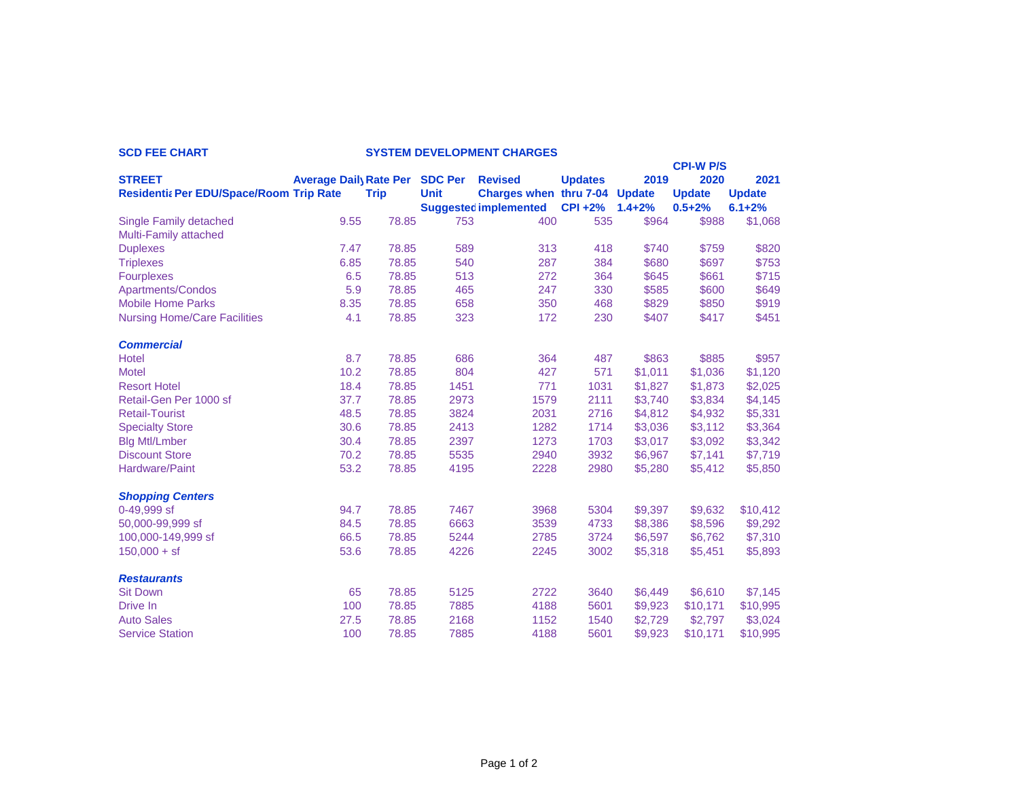|                                         |                              |             |                |                               |                |            | <b>CPI-W P/S</b> |               |
|-----------------------------------------|------------------------------|-------------|----------------|-------------------------------|----------------|------------|------------------|---------------|
| <b>STREET</b>                           | <b>Average Dail Rate Per</b> |             | <b>SDC Per</b> | <b>Revised</b>                | <b>Updates</b> | 2019       | 2020             | 2021          |
| Residentia Per EDU/Space/Room Trip Rate |                              | <b>Trip</b> | <b>Unit</b>    | Charges when thru 7-04 Update |                |            | <b>Update</b>    | <b>Update</b> |
|                                         |                              |             |                | <b>Suggested implemented</b>  | <b>CPI +2%</b> | $1.4 + 2%$ | $0.5 + 2%$       | $6.1 + 2%$    |
| <b>Single Family detached</b>           | 9.55                         | 78.85       | 753            | 400                           | 535            | \$964      | \$988            | \$1,068       |
| <b>Multi-Family attached</b>            |                              |             |                |                               |                |            |                  |               |
| <b>Duplexes</b>                         | 7.47                         | 78.85       | 589            | 313                           | 418            | \$740      | \$759            | \$820         |
| <b>Triplexes</b>                        | 6.85                         | 78.85       | 540            | 287                           | 384            | \$680      | \$697            | \$753         |
| <b>Fourplexes</b>                       | 6.5                          | 78.85       | 513            | 272                           | 364            | \$645      | \$661            | \$715         |
| Apartments/Condos                       | 5.9                          | 78.85       | 465            | 247                           | 330            | \$585      | \$600            | \$649         |
| <b>Mobile Home Parks</b>                | 8.35                         | 78.85       | 658            | 350                           | 468            | \$829      | \$850            | \$919         |
| <b>Nursing Home/Care Facilities</b>     | 4.1                          | 78.85       | 323            | 172                           | 230            | \$407      | \$417            | \$451         |
| <b>Commercial</b>                       |                              |             |                |                               |                |            |                  |               |
| <b>Hotel</b>                            | 8.7                          | 78.85       | 686            | 364                           | 487            | \$863      | \$885            | \$957         |
| <b>Motel</b>                            | 10.2                         | 78.85       | 804            | 427                           | 571            | \$1,011    | \$1,036          | \$1,120       |
| <b>Resort Hotel</b>                     | 18.4                         | 78.85       | 1451           | 771                           | 1031           | \$1,827    | \$1,873          | \$2,025       |
| Retail-Gen Per 1000 sf                  | 37.7                         | 78.85       | 2973           | 1579                          | 2111           | \$3,740    | \$3,834          | \$4,145       |
| <b>Retail-Tourist</b>                   | 48.5                         | 78.85       | 3824           | 2031                          | 2716           | \$4,812    | \$4,932          | \$5,331       |
| <b>Specialty Store</b>                  | 30.6                         | 78.85       | 2413           | 1282                          | 1714           | \$3,036    | \$3,112          | \$3,364       |
| <b>Blg Mtl/Lmber</b>                    | 30.4                         | 78.85       | 2397           | 1273                          | 1703           | \$3,017    | \$3,092          | \$3,342       |
| <b>Discount Store</b>                   | 70.2                         | 78.85       | 5535           | 2940                          | 3932           | \$6,967    | \$7,141          | \$7,719       |
| <b>Hardware/Paint</b>                   | 53.2                         | 78.85       | 4195           | 2228                          | 2980           | \$5,280    | \$5,412          | \$5,850       |
| <b>Shopping Centers</b>                 |                              |             |                |                               |                |            |                  |               |
| 0-49,999 sf                             | 94.7                         | 78.85       | 7467           | 3968                          | 5304           | \$9,397    | \$9,632          | \$10,412      |
| 50,000-99,999 sf                        | 84.5                         | 78.85       | 6663           | 3539                          | 4733           | \$8,386    | \$8,596          | \$9,292       |
| 100,000-149,999 sf                      | 66.5                         | 78.85       | 5244           | 2785                          | 3724           | \$6,597    | \$6,762          | \$7,310       |
| $150,000 + sf$                          | 53.6                         | 78.85       | 4226           | 2245                          | 3002           | \$5,318    | \$5,451          | \$5,893       |
| <b>Restaurants</b>                      |                              |             |                |                               |                |            |                  |               |
| <b>Sit Down</b>                         | 65                           | 78.85       | 5125           | 2722                          | 3640           | \$6,449    | \$6,610          | \$7,145       |
| Drive In                                | 100                          | 78.85       | 7885           | 4188                          | 5601           | \$9,923    | \$10,171         | \$10,995      |
| <b>Auto Sales</b>                       | 27.5                         | 78.85       | 2168           | 1152                          | 1540           | \$2,729    | \$2,797          | \$3,024       |
| <b>Service Station</b>                  | 100                          | 78.85       | 7885           | 4188                          | 5601           | \$9,923    | \$10,171         | \$10,995      |

## **SCD FEE CHART SYSTEM DEVELOPMENT CHARGES**